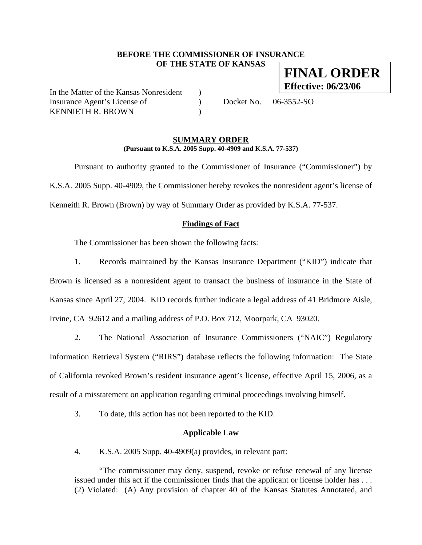## **BEFORE THE COMMISSIONER OF INSURANCE OF THE STATE OF KANSAS**

In the Matter of the Kansas Nonresident ) Insurance Agent's License of (a) Docket No. 06-3552-SO KENNIETH R. BROWN (1998)

#### **SUMMARY ORDER (Pursuant to K.S.A. 2005 Supp. 40-4909 and K.S.A. 77-537)**

 Pursuant to authority granted to the Commissioner of Insurance ("Commissioner") by K.S.A. 2005 Supp. 40-4909, the Commissioner hereby revokes the nonresident agent's license of Kenneith R. Brown (Brown) by way of Summary Order as provided by K.S.A. 77-537.

## **Findings of Fact**

The Commissioner has been shown the following facts:

1. Records maintained by the Kansas Insurance Department ("KID") indicate that Brown is licensed as a nonresident agent to transact the business of insurance in the State of Kansas since April 27, 2004. KID records further indicate a legal address of 41 Bridmore Aisle, Irvine, CA 92612 and a mailing address of P.O. Box 712, Moorpark, CA 93020.

2. The National Association of Insurance Commissioners ("NAIC") Regulatory Information Retrieval System ("RIRS") database reflects the following information: The State of California revoked Brown's resident insurance agent's license, effective April 15, 2006, as a result of a misstatement on application regarding criminal proceedings involving himself.

3. To date, this action has not been reported to the KID.

## **Applicable Law**

4. K.S.A. 2005 Supp. 40-4909(a) provides, in relevant part:

"The commissioner may deny, suspend, revoke or refuse renewal of any license issued under this act if the commissioner finds that the applicant or license holder has . . . (2) Violated: (A) Any provision of chapter 40 of the Kansas Statutes Annotated, and

**FINAL ORDER Effective: 06/23/06**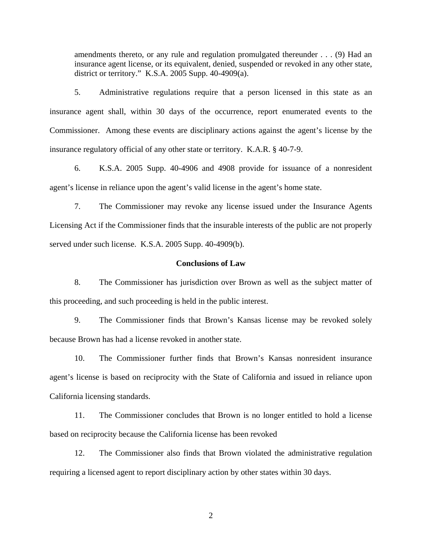amendments thereto, or any rule and regulation promulgated thereunder . . . (9) Had an insurance agent license, or its equivalent, denied, suspended or revoked in any other state, district or territory." K.S.A. 2005 Supp. 40-4909(a).

5. Administrative regulations require that a person licensed in this state as an insurance agent shall, within 30 days of the occurrence, report enumerated events to the Commissioner. Among these events are disciplinary actions against the agent's license by the insurance regulatory official of any other state or territory. K.A.R. § 40-7-9.

6. K.S.A. 2005 Supp. 40-4906 and 4908 provide for issuance of a nonresident agent's license in reliance upon the agent's valid license in the agent's home state.

7. The Commissioner may revoke any license issued under the Insurance Agents Licensing Act if the Commissioner finds that the insurable interests of the public are not properly served under such license. K.S.A. 2005 Supp. 40-4909(b).

### **Conclusions of Law**

8. The Commissioner has jurisdiction over Brown as well as the subject matter of this proceeding, and such proceeding is held in the public interest.

9. The Commissioner finds that Brown's Kansas license may be revoked solely because Brown has had a license revoked in another state.

10. The Commissioner further finds that Brown's Kansas nonresident insurance agent's license is based on reciprocity with the State of California and issued in reliance upon California licensing standards.

11. The Commissioner concludes that Brown is no longer entitled to hold a license based on reciprocity because the California license has been revoked

12. The Commissioner also finds that Brown violated the administrative regulation requiring a licensed agent to report disciplinary action by other states within 30 days.

2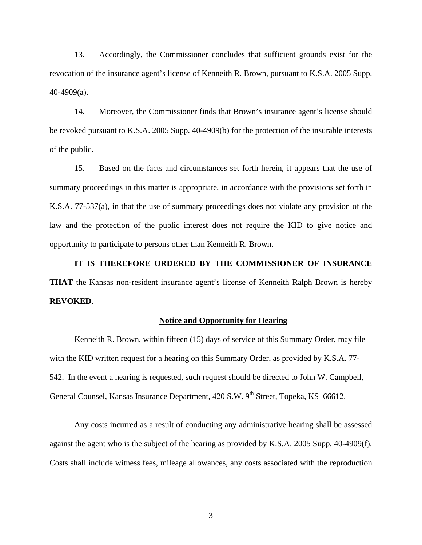13. Accordingly, the Commissioner concludes that sufficient grounds exist for the revocation of the insurance agent's license of Kenneith R. Brown, pursuant to K.S.A. 2005 Supp. 40-4909(a).

14. Moreover, the Commissioner finds that Brown's insurance agent's license should be revoked pursuant to K.S.A. 2005 Supp. 40-4909(b) for the protection of the insurable interests of the public.

15. Based on the facts and circumstances set forth herein, it appears that the use of summary proceedings in this matter is appropriate, in accordance with the provisions set forth in K.S.A. 77-537(a), in that the use of summary proceedings does not violate any provision of the law and the protection of the public interest does not require the KID to give notice and opportunity to participate to persons other than Kenneith R. Brown.

 **IT IS THEREFORE ORDERED BY THE COMMISSIONER OF INSURANCE THAT** the Kansas non-resident insurance agent's license of Kenneith Ralph Brown is hereby **REVOKED**.

### **Notice and Opportunity for Hearing**

Kenneith R. Brown, within fifteen (15) days of service of this Summary Order, may file with the KID written request for a hearing on this Summary Order, as provided by K.S.A. 77- 542. In the event a hearing is requested, such request should be directed to John W. Campbell, General Counsel, Kansas Insurance Department, 420 S.W. 9<sup>th</sup> Street, Topeka, KS 66612.

 Any costs incurred as a result of conducting any administrative hearing shall be assessed against the agent who is the subject of the hearing as provided by K.S.A. 2005 Supp. 40-4909(f). Costs shall include witness fees, mileage allowances, any costs associated with the reproduction

3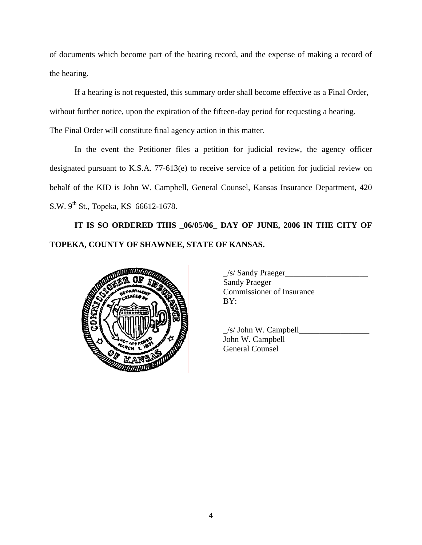of documents which become part of the hearing record, and the expense of making a record of the hearing.

If a hearing is not requested, this summary order shall become effective as a Final Order, without further notice, upon the expiration of the fifteen-day period for requesting a hearing.

The Final Order will constitute final agency action in this matter.

In the event the Petitioner files a petition for judicial review, the agency officer designated pursuant to K.S.A. 77-613(e) to receive service of a petition for judicial review on behalf of the KID is John W. Campbell, General Counsel, Kansas Insurance Department, 420 S.W. 9<sup>th</sup> St., Topeka, KS 66612-1678.

**IT IS SO ORDERED THIS \_06/05/06\_ DAY OF JUNE, 2006 IN THE CITY OF TOPEKA, COUNTY OF SHAWNEE, STATE OF KANSAS.** 



| $\angle$ s/ Sandy Praeger        |
|----------------------------------|
| <b>Sandy Praeger</b>             |
| <b>Commissioner of Insurance</b> |
| BY:                              |
|                                  |

|                   | $/s$ John W. Campbell |
|-------------------|-----------------------|
|                   | John W. Campbell      |
| <b>CONTROLLER</b> | General Counsel       |